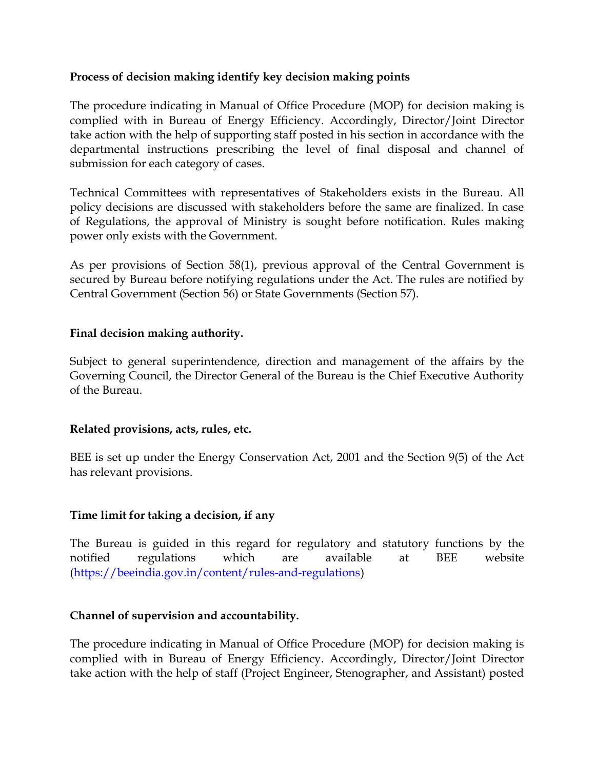## Process of decision making identify key decision making points

The procedure indicating in Manual of Office Procedure (MOP) for decision making is complied with in Bureau of Energy Efficiency. Accordingly, Director/Joint Director take action with the help of supporting staff posted in his section in accordance with the departmental instructions prescribing the level of final disposal and channel of submission for each category of cases.

Technical Committees with representatives of Stakeholders exists in the Bureau. All policy decisions are discussed with stakeholders before the same are finalized. In case of Regulations, the approval of Ministry is sought before notification. Rules making power only exists with the Government.

As per provisions of Section 58(1), previous approval of the Central Government is secured by Bureau before notifying regulations under the Act. The rules are notified by Central Government (Section 56) or State Governments (Section 57).

### Final decision making authority.

Subject to general superintendence, direction and management of the affairs by the Governing Council, the Director General of the Bureau is the Chief Executive Authority of the Bureau.

### Related provisions, acts, rules, etc.

BEE is set up under the Energy Conservation Act, 2001 and the Section 9(5) of the Act has relevant provisions.

# Time limit for taking a decision, if any

The Bureau is guided in this regard for regulatory and statutory functions by the notified regulations which are available at BEE website (https://beeindia.gov.in/content/rules-and-regulations)

### Channel of supervision and accountability.

The procedure indicating in Manual of Office Procedure (MOP) for decision making is complied with in Bureau of Energy Efficiency. Accordingly, Director/Joint Director take action with the help of staff (Project Engineer, Stenographer, and Assistant) posted